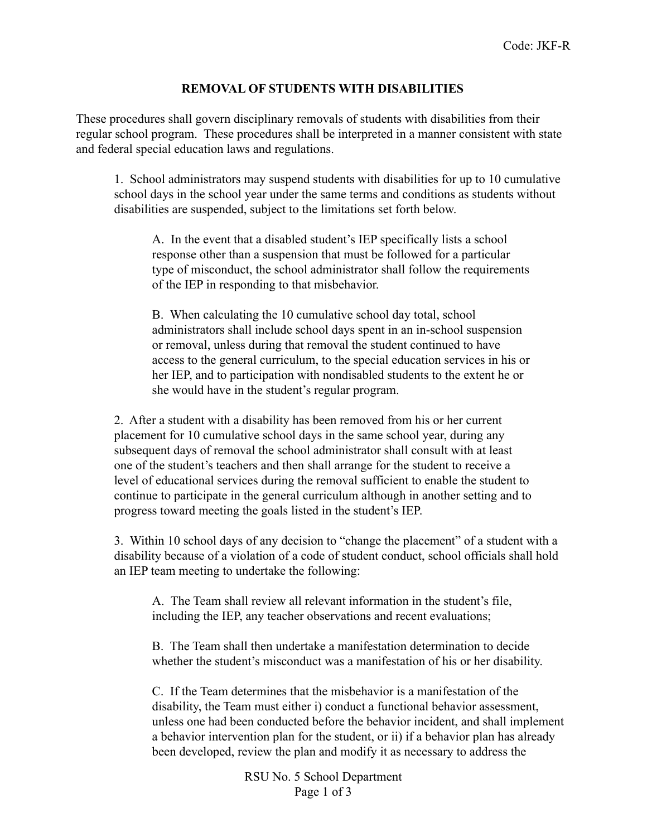## **REMOVAL OF STUDENTS WITH DISABILITIES**

These procedures shall govern disciplinary removals of students with disabilities from their regular school program. These procedures shall be interpreted in a manner consistent with state and federal special education laws and regulations.

1. School administrators may suspend students with disabilities for up to 10 cumulative school days in the school year under the same terms and conditions as students without disabilities are suspended, subject to the limitations set forth below.

A. In the event that a disabled student's IEP specifically lists a school response other than a suspension that must be followed for a particular type of misconduct, the school administrator shall follow the requirements of the IEP in responding to that misbehavior.

B. When calculating the 10 cumulative school day total, school administrators shall include school days spent in an in-school suspension or removal, unless during that removal the student continued to have access to the general curriculum, to the special education services in his or her IEP, and to participation with nondisabled students to the extent he or she would have in the student's regular program.

2. After a student with a disability has been removed from his or her current placement for 10 cumulative school days in the same school year, during any subsequent days of removal the school administrator shall consult with at least one of the student's teachers and then shall arrange for the student to receive a level of educational services during the removal sufficient to enable the student to continue to participate in the general curriculum although in another setting and to progress toward meeting the goals listed in the student's IEP.

3. Within 10 school days of any decision to "change the placement" of a student with a disability because of a violation of a code of student conduct, school officials shall hold an IEP team meeting to undertake the following:

A. The Team shall review all relevant information in the student's file, including the IEP, any teacher observations and recent evaluations;

B. The Team shall then undertake a manifestation determination to decide whether the student's misconduct was a manifestation of his or her disability.

C. If the Team determines that the misbehavior is a manifestation of the disability, the Team must either i) conduct a functional behavior assessment, unless one had been conducted before the behavior incident, and shall implement a behavior intervention plan for the student, or ii) if a behavior plan has already been developed, review the plan and modify it as necessary to address the

> RSU No. 5 School Department Page 1 of 3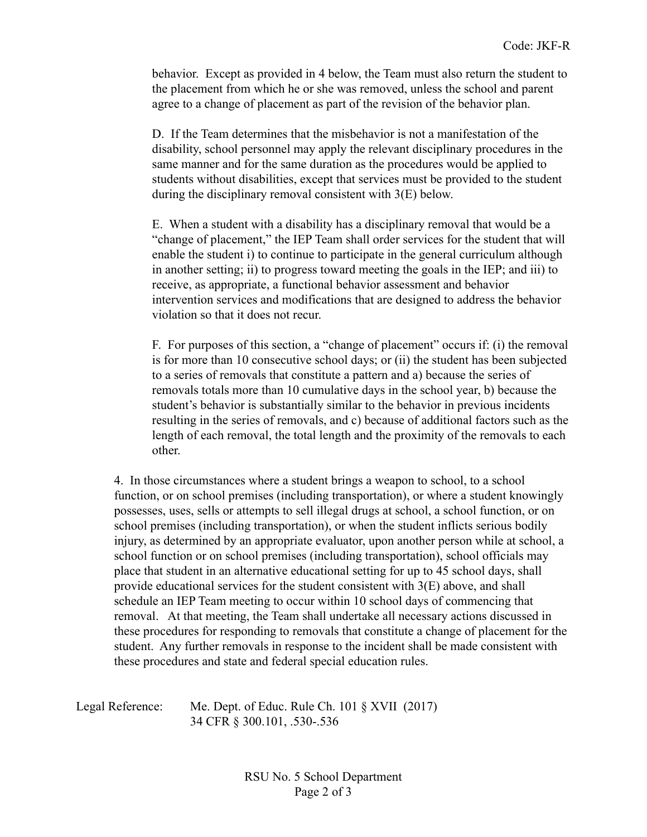behavior. Except as provided in 4 below, the Team must also return the student to the placement from which he or she was removed, unless the school and parent agree to a change of placement as part of the revision of the behavior plan.

D. If the Team determines that the misbehavior is not a manifestation of the disability, school personnel may apply the relevant disciplinary procedures in the same manner and for the same duration as the procedures would be applied to students without disabilities, except that services must be provided to the student during the disciplinary removal consistent with 3(E) below.

E. When a student with a disability has a disciplinary removal that would be a "change of placement," the IEP Team shall order services for the student that will enable the student i) to continue to participate in the general curriculum although in another setting; ii) to progress toward meeting the goals in the IEP; and iii) to receive, as appropriate, a functional behavior assessment and behavior intervention services and modifications that are designed to address the behavior violation so that it does not recur.

F. For purposes of this section, a "change of placement" occurs if: (i) the removal is for more than 10 consecutive school days; or (ii) the student has been subjected to a series of removals that constitute a pattern and a) because the series of removals totals more than 10 cumulative days in the school year, b) because the student's behavior is substantially similar to the behavior in previous incidents resulting in the series of removals, and c) because of additional factors such as the length of each removal, the total length and the proximity of the removals to each other.

4. In those circumstances where a student brings a weapon to school, to a school function, or on school premises (including transportation), or where a student knowingly possesses, uses, sells or attempts to sell illegal drugs at school, a school function, or on school premises (including transportation), or when the student inflicts serious bodily injury, as determined by an appropriate evaluator, upon another person while at school, a school function or on school premises (including transportation), school officials may place that student in an alternative educational setting for up to 45 school days, shall provide educational services for the student consistent with 3(E) above, and shall schedule an IEP Team meeting to occur within 10 school days of commencing that removal. At that meeting, the Team shall undertake all necessary actions discussed in these procedures for responding to removals that constitute a change of placement for the student. Any further removals in response to the incident shall be made consistent with these procedures and state and federal special education rules.

Legal Reference: Me. Dept. of Educ. Rule Ch. 101 § XVII (2017) 34 CFR § 300.101, .530-.536

> RSU No. 5 School Department Page 2 of 3